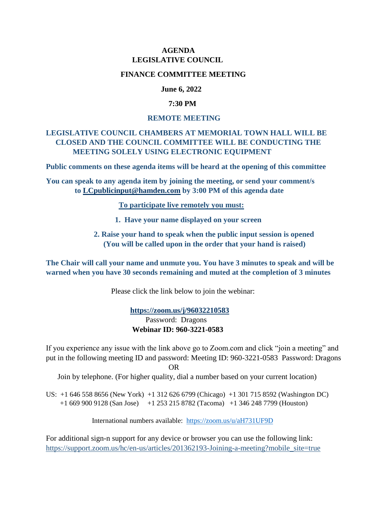## **AGENDA LEGISLATIVE COUNCIL**

### **FINANCE COMMITTEE MEETING**

### **June 6, 2022**

### **7:30 PM**

#### **REMOTE MEETING**

# **LEGISLATIVE COUNCIL CHAMBERS AT MEMORIAL TOWN HALL WILL BE CLOSED AND THE COUNCIL COMMITTEE WILL BE CONDUCTING THE MEETING SOLELY USING ELECTRONIC EQUIPMENT**

**Public comments on these agenda items will be heard at the opening of this committee**

**You can speak to any agenda item by joining the meeting, or send your comment/s to [LCpublicinput@hamden.com](mailto:LCpublicinput@hamden.com) by 3:00 PM of this agenda date**

 **To participate live remotely you must:**

- **1. Have your name displayed on your screen**
- **2. Raise your hand to speak when the public input session is opened (You will be called upon in the order that your hand is raised)**

**The Chair will call your name and unmute you. You have 3 minutes to speak and will be warned when you have 30 seconds remaining and muted at the completion of 3 minutes**

Please click the link below to join the webinar:

 **<https://zoom.us/j/96032210583>** Password: Dragons **Webinar ID: 960-3221-0583**

If you experience any issue with the link above go to Zoom.com and click "join a meeting" and put in the following meeting ID and password: Meeting ID: 960-3221-0583 Password: Dragons OR

Join by telephone. (For higher quality, dial a number based on your current location)

US: +1 646 558 8656 (New York) +1 312 626 6799 (Chicago) +1 301 715 8592 (Washington DC) +1 669 900 9128 (San Jose) +1 253 215 8782 (Tacoma) +1 346 248 7799 (Houston)

International numbers available: <https://zoom.us/u/aH731UF9D>

For additional sign-n support for any device or browser you can use the following link: [https://support.zoom.us/hc/en-us/articles/201362193-Joining-a-meeting?mobile\\_site=true](https://support.zoom.us/hc/en-us/articles/201362193-Joining-a-meeting?mobile_site=true)